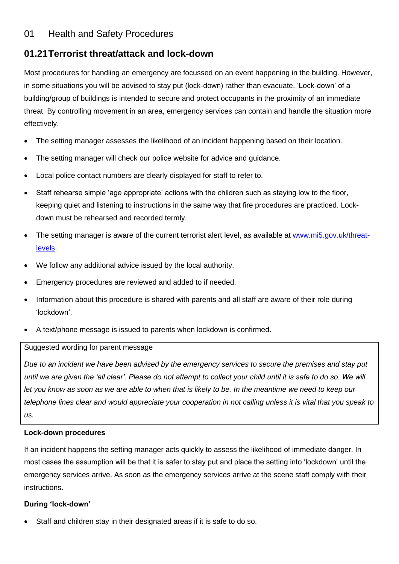# 01 Health and Safety Procedures

# **01.21Terrorist threat/attack and lock-down**

Most procedures for handling an emergency are focussed on an event happening in the building. However, in some situations you will be advised to stay put (lock-down) rather than evacuate. 'Lock-down' of a building/group of buildings is intended to secure and protect occupants in the proximity of an immediate threat. By controlling movement in an area, emergency services can contain and handle the situation more effectively.

- The setting manager assesses the likelihood of an incident happening based on their location.
- The setting manager will check our police website for advice and guidance.
- Local police contact numbers are clearly displayed for staff to refer to.
- Staff rehearse simple 'age appropriate' actions with the children such as staying low to the floor, keeping quiet and listening to instructions in the same way that fire procedures are practiced. Lockdown must be rehearsed and recorded termly.
- The setting manager is aware of the current terrorist alert level, as available at [www.mi5.gov.uk/threat](http://www.mi5.gov.uk/threat-levels)[levels.](http://www.mi5.gov.uk/threat-levels)
- We follow any additional advice issued by the local authority.
- Emergency procedures are reviewed and added to if needed.
- Information about this procedure is shared with parents and all staff are aware of their role during 'lockdown'.
- A text/phone message is issued to parents when lockdown is confirmed.

### Suggested wording for parent message

*Due to an incident we have been advised by the emergency services to secure the premises and stay put*  until we are given the 'all clear'. Please do not attempt to collect your child until it is safe to do so. We will *let you know as soon as we are able to when that is likely to be. In the meantime we need to keep our telephone lines clear and would appreciate your cooperation in not calling unless it is vital that you speak to us.*

### **Lock-down procedures**

If an incident happens the setting manager acts quickly to assess the likelihood of immediate danger. In most cases the assumption will be that it is safer to stay put and place the setting into 'lockdown' until the emergency services arrive. As soon as the emergency services arrive at the scene staff comply with their instructions.

# **During 'lock-down'**

Staff and children stay in their designated areas if it is safe to do so.